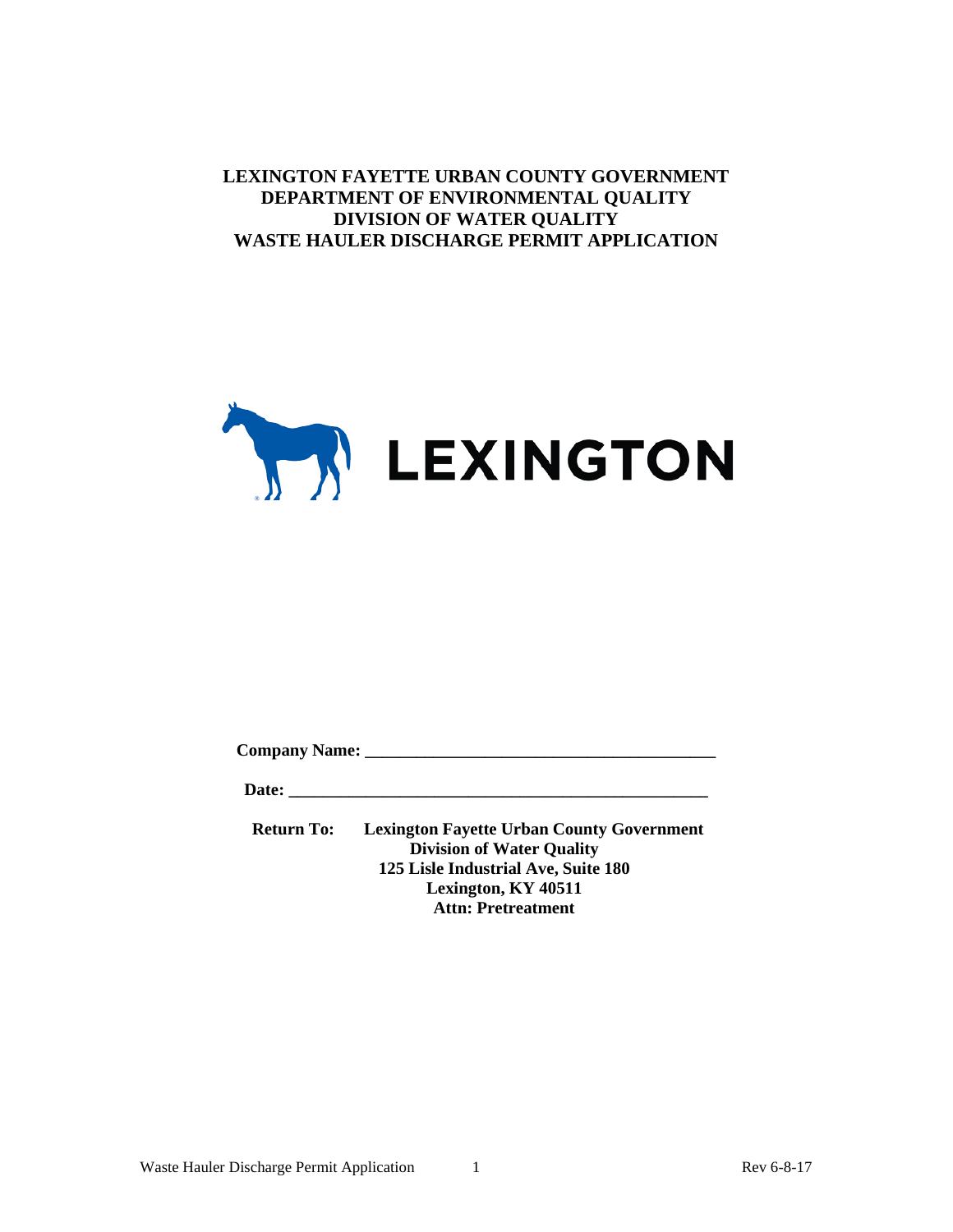**LEXINGTON FAYETTE URBAN COUNTY GOVERNMENT DEPARTMENT OF ENVIRONMENTAL QUALITY DIVISION OF WATER QUALITY WASTE HAULER DISCHARGE PERMIT APPLICATION**



**Company Name: \_\_\_\_\_\_\_\_\_\_\_\_\_\_\_\_\_\_\_\_\_\_\_\_\_\_\_\_\_\_\_\_\_\_\_\_\_\_\_\_\_**

**Date: \_\_\_\_\_\_\_\_\_\_\_\_\_\_\_\_\_\_\_\_\_\_\_\_\_\_\_\_\_\_\_\_\_\_\_\_\_\_\_\_\_\_\_\_\_\_\_\_\_**

**Return To: Lexington Fayette Urban County Government Division of Water Quality 125 Lisle Industrial Ave, Suite 180 Lexington, KY 40511 Attn: Pretreatment**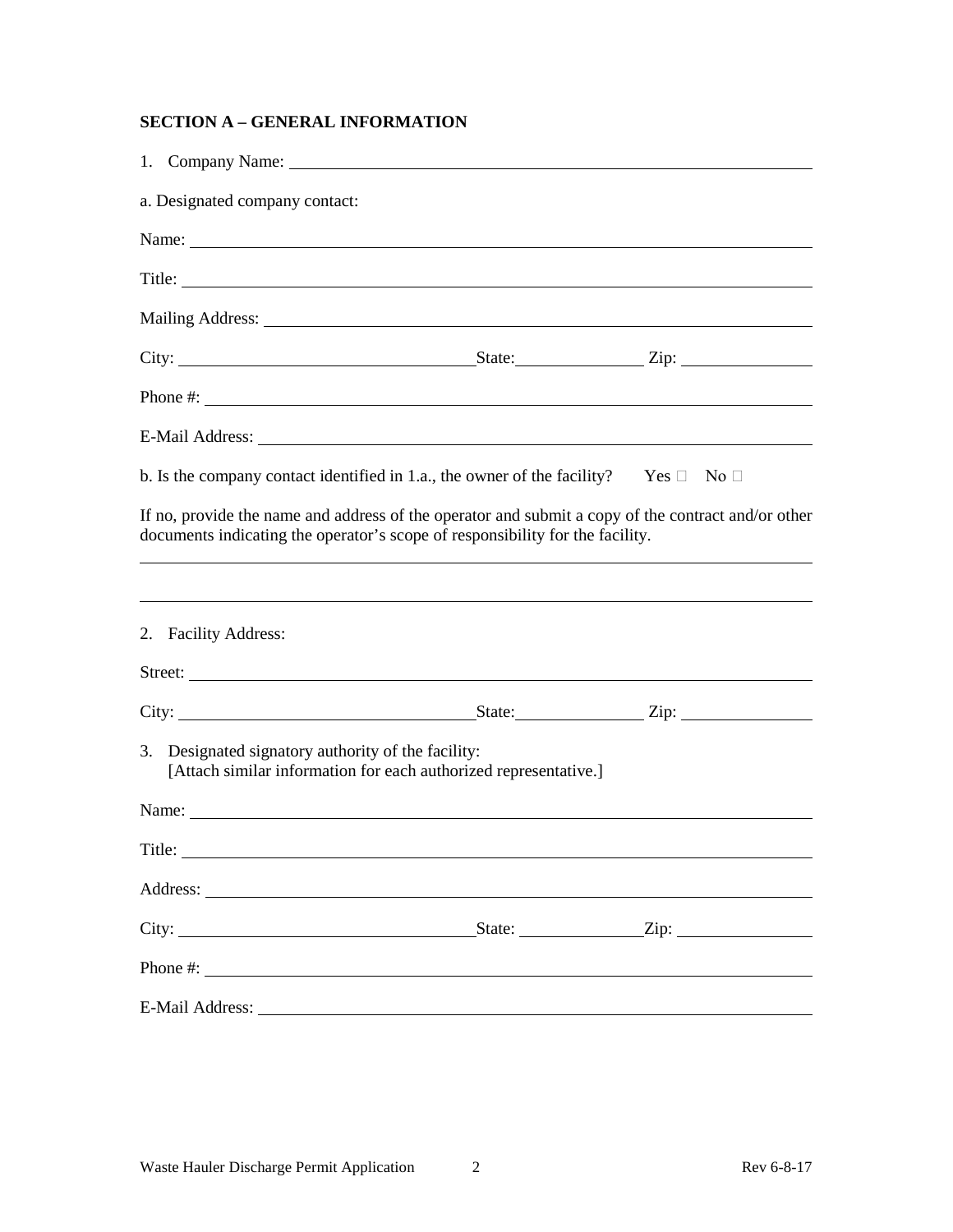# **SECTION A – GENERAL INFORMATION**

| a. Designated company contact:                                                                                                                                                                                                                                                                         |                 |
|--------------------------------------------------------------------------------------------------------------------------------------------------------------------------------------------------------------------------------------------------------------------------------------------------------|-----------------|
|                                                                                                                                                                                                                                                                                                        |                 |
| Title:                                                                                                                                                                                                                                                                                                 |                 |
|                                                                                                                                                                                                                                                                                                        |                 |
|                                                                                                                                                                                                                                                                                                        |                 |
| Phone #: $\frac{1}{2}$ = $\frac{1}{2}$ = $\frac{1}{2}$ = $\frac{1}{2}$ = $\frac{1}{2}$ = $\frac{1}{2}$ = $\frac{1}{2}$ = $\frac{1}{2}$ = $\frac{1}{2}$ = $\frac{1}{2}$ = $\frac{1}{2}$ = $\frac{1}{2}$ = $\frac{1}{2}$ = $\frac{1}{2}$ = $\frac{1}{2}$ = $\frac{1}{2}$ = $\frac{1}{2}$ = $\frac{1}{2}$ |                 |
|                                                                                                                                                                                                                                                                                                        |                 |
| b. Is the company contact identified in 1.a., the owner of the facility? Yes $\Box$ No $\Box$                                                                                                                                                                                                          |                 |
| If no, provide the name and address of the operator and submit a copy of the contract and/or other<br>documents indicating the operator's scope of responsibility for the facility.                                                                                                                    |                 |
| ,我们也不会有什么。""我们的人,我们也不会有什么?""我们的人,我们也不会有什么?""我们的人,我们也不会有什么?""我们的人,我们也不会有什么?""我们的人<br>2. Facility Address:                                                                                                                                                                                               |                 |
| City: <u>City:</u> City: State: State: Zip:                                                                                                                                                                                                                                                            |                 |
| 3. Designated signatory authority of the facility:<br>[Attach similar information for each authorized representative.]                                                                                                                                                                                 |                 |
| Name: $\frac{1}{\sqrt{1-\frac{1}{2}}}\left\{ \frac{1}{2}, \frac{1}{2}, \frac{1}{2}, \frac{1}{2}\right\}$                                                                                                                                                                                               |                 |
| Title:                                                                                                                                                                                                                                                                                                 |                 |
| Address:                                                                                                                                                                                                                                                                                               |                 |
|                                                                                                                                                                                                                                                                                                        | $State:$ $Zip:$ |
| Phone #: $\frac{1}{2}$ = $\frac{1}{2}$ = $\frac{1}{2}$ = $\frac{1}{2}$ = $\frac{1}{2}$ = $\frac{1}{2}$ = $\frac{1}{2}$ = $\frac{1}{2}$ = $\frac{1}{2}$ = $\frac{1}{2}$ = $\frac{1}{2}$ = $\frac{1}{2}$ = $\frac{1}{2}$ = $\frac{1}{2}$ = $\frac{1}{2}$ = $\frac{1}{2}$ = $\frac{1}{2}$ = $\frac{1}{2}$ |                 |
|                                                                                                                                                                                                                                                                                                        |                 |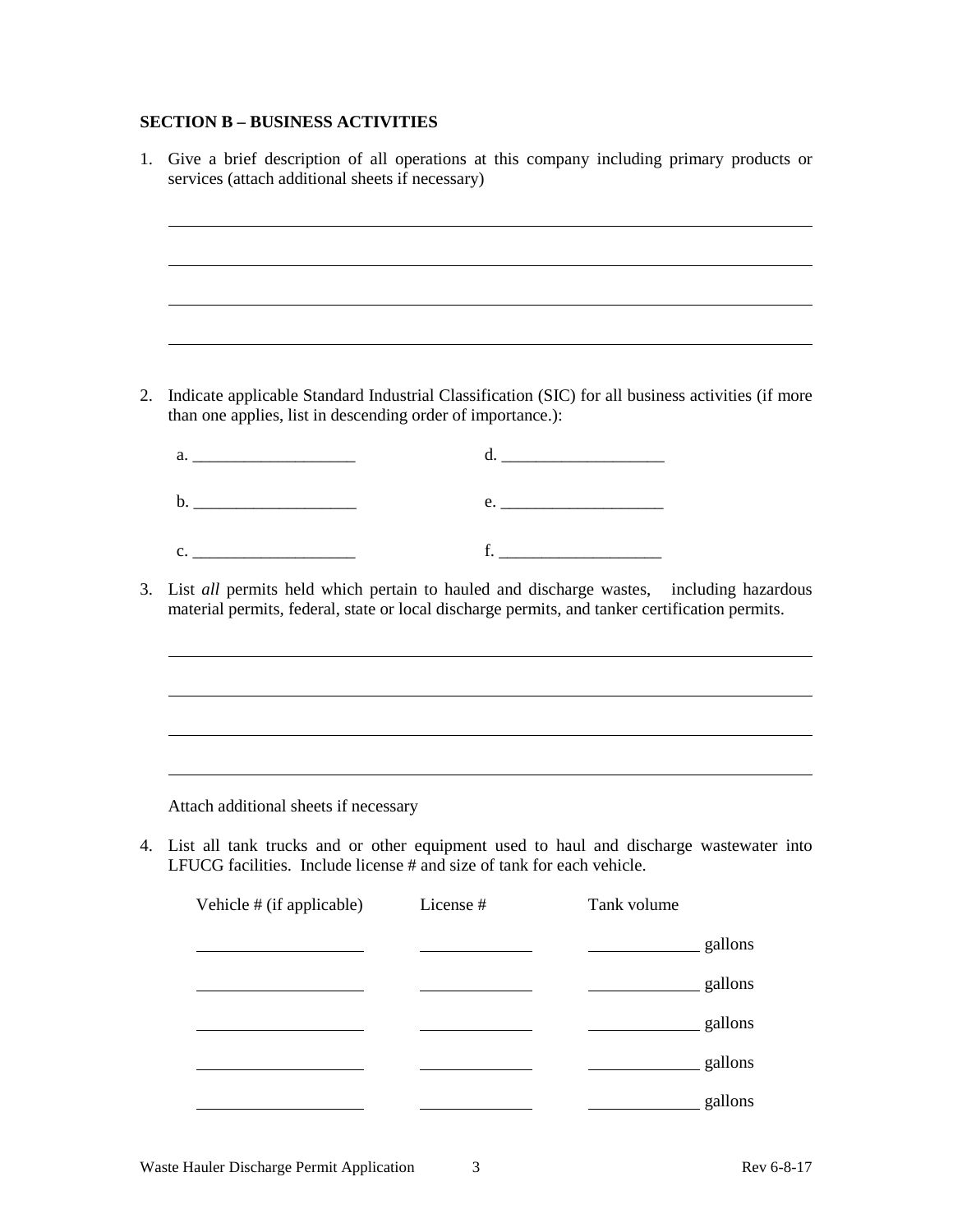# **SECTION B – BUSINESS ACTIVITIES**

|                                                                                                                                                                                                                                                                                                                | and the control of the control of the control of the control of the control of the control of the control of the |             |         |
|----------------------------------------------------------------------------------------------------------------------------------------------------------------------------------------------------------------------------------------------------------------------------------------------------------------|------------------------------------------------------------------------------------------------------------------|-------------|---------|
|                                                                                                                                                                                                                                                                                                                |                                                                                                                  |             |         |
|                                                                                                                                                                                                                                                                                                                |                                                                                                                  |             |         |
|                                                                                                                                                                                                                                                                                                                |                                                                                                                  |             |         |
|                                                                                                                                                                                                                                                                                                                |                                                                                                                  |             |         |
| Indicate applicable Standard Industrial Classification (SIC) for all business activities (if more<br>than one applies, list in descending order of importance.):                                                                                                                                               |                                                                                                                  |             |         |
|                                                                                                                                                                                                                                                                                                                |                                                                                                                  |             |         |
|                                                                                                                                                                                                                                                                                                                |                                                                                                                  |             |         |
|                                                                                                                                                                                                                                                                                                                |                                                                                                                  |             |         |
|                                                                                                                                                                                                                                                                                                                |                                                                                                                  |             |         |
|                                                                                                                                                                                                                                                                                                                |                                                                                                                  |             |         |
|                                                                                                                                                                                                                                                                                                                | List all permits held which pertain to hauled and discharge wastes, including hazardous                          |             |         |
|                                                                                                                                                                                                                                                                                                                |                                                                                                                  |             |         |
|                                                                                                                                                                                                                                                                                                                |                                                                                                                  |             |         |
|                                                                                                                                                                                                                                                                                                                |                                                                                                                  |             |         |
|                                                                                                                                                                                                                                                                                                                |                                                                                                                  |             |         |
|                                                                                                                                                                                                                                                                                                                |                                                                                                                  |             |         |
|                                                                                                                                                                                                                                                                                                                |                                                                                                                  |             |         |
|                                                                                                                                                                                                                                                                                                                |                                                                                                                  |             |         |
|                                                                                                                                                                                                                                                                                                                |                                                                                                                  |             |         |
|                                                                                                                                                                                                                                                                                                                |                                                                                                                  |             |         |
|                                                                                                                                                                                                                                                                                                                |                                                                                                                  |             |         |
|                                                                                                                                                                                                                                                                                                                |                                                                                                                  |             |         |
| Vehicle # (if applicable)                                                                                                                                                                                                                                                                                      | License #                                                                                                        | Tank volume |         |
|                                                                                                                                                                                                                                                                                                                |                                                                                                                  |             | gallons |
|                                                                                                                                                                                                                                                                                                                |                                                                                                                  |             | gallons |
|                                                                                                                                                                                                                                                                                                                |                                                                                                                  |             | gallons |
|                                                                                                                                                                                                                                                                                                                |                                                                                                                  |             | gallons |
| material permits, federal, state or local discharge permits, and tanker certification permits.<br>Attach additional sheets if necessary<br>4. List all tank trucks and or other equipment used to haul and discharge wastewater into<br>LFUCG facilities. Include license # and size of tank for each vehicle. |                                                                                                                  |             | gallons |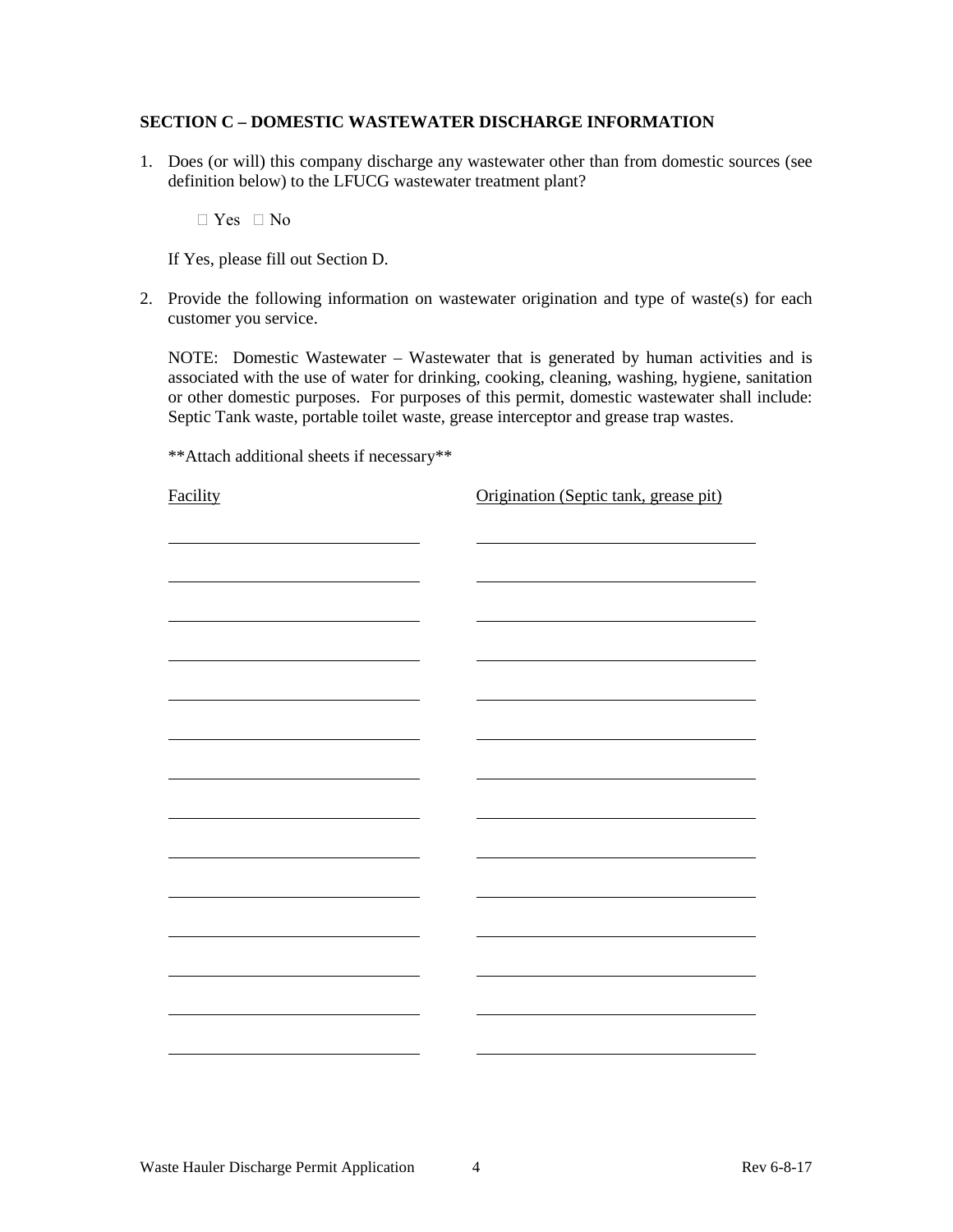#### **SECTION C – DOMESTIC WASTEWATER DISCHARGE INFORMATION**

1. Does (or will) this company discharge any wastewater other than from domestic sources (see definition below) to the LFUCG wastewater treatment plant?

 $\Box$  Yes  $\Box$  No

If Yes, please fill out Section D.

2. Provide the following information on wastewater origination and type of waste(s) for each customer you service.

NOTE: Domestic Wastewater – Wastewater that is generated by human activities and is associated with the use of water for drinking, cooking, cleaning, washing, hygiene, sanitation or other domestic purposes. For purposes of this permit, domestic wastewater shall include: Septic Tank waste, portable toilet waste, grease interceptor and grease trap wastes.

\*\*Attach additional sheets if necessary\*\*

Facility **Constanting Constanting Constanting Constanting Constanting Constanting Constanting Constanting Constanting Constanting Constanting Constanting Constanting Constanting Constanting Constanting Constanting Constant**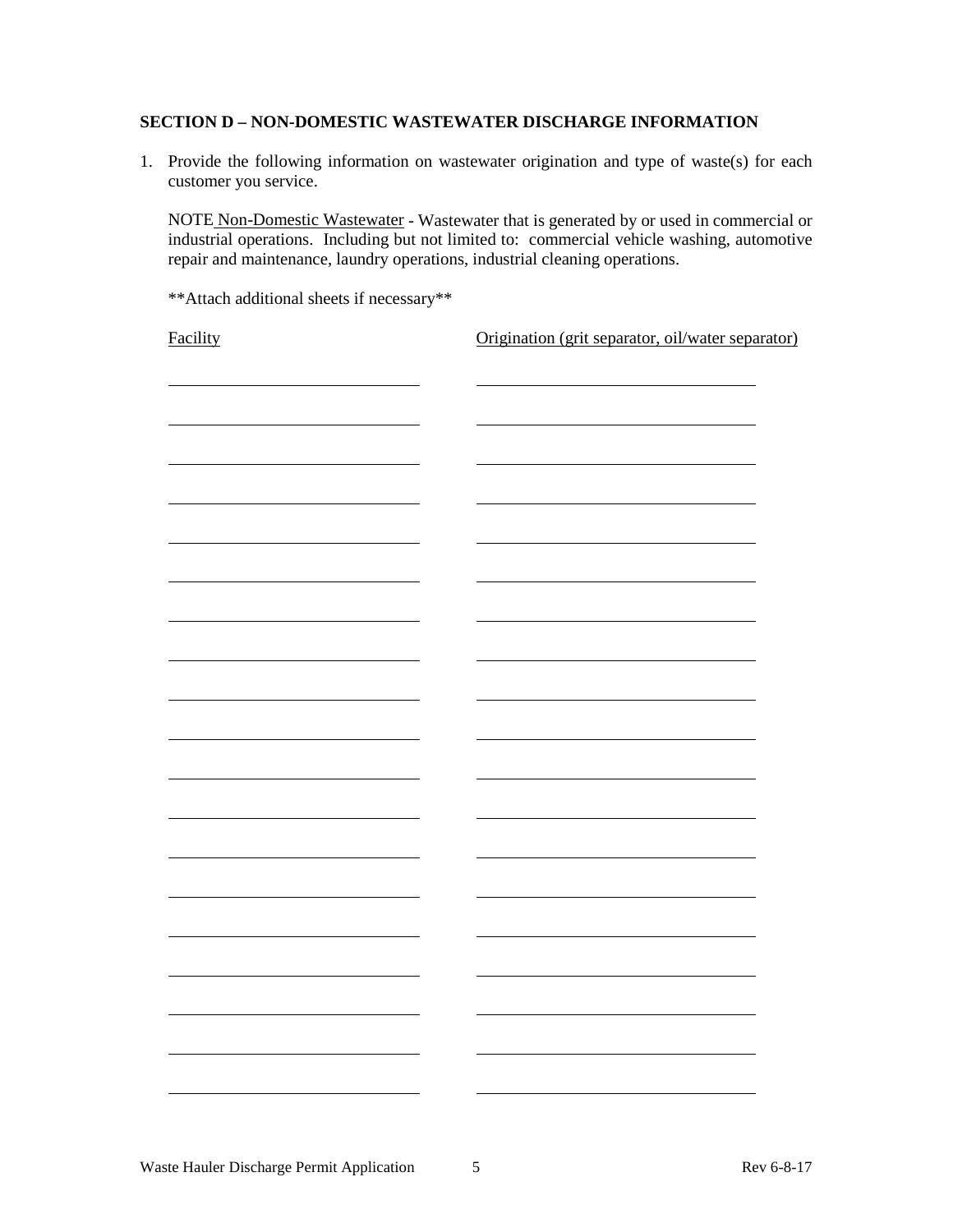## **SECTION D – NON-DOMESTIC WASTEWATER DISCHARGE INFORMATION**

1. Provide the following information on wastewater origination and type of waste(s) for each customer you service.

NOTE Non-Domestic Wastewater - Wastewater that is generated by or used in commercial or industrial operations. Including but not limited to: commercial vehicle washing, automotive repair and maintenance, laundry operations, industrial cleaning operations.

\*\*Attach additional sheets if necessary\*\*

Facility **Facility Origination** (grit separator, oil/water separator)

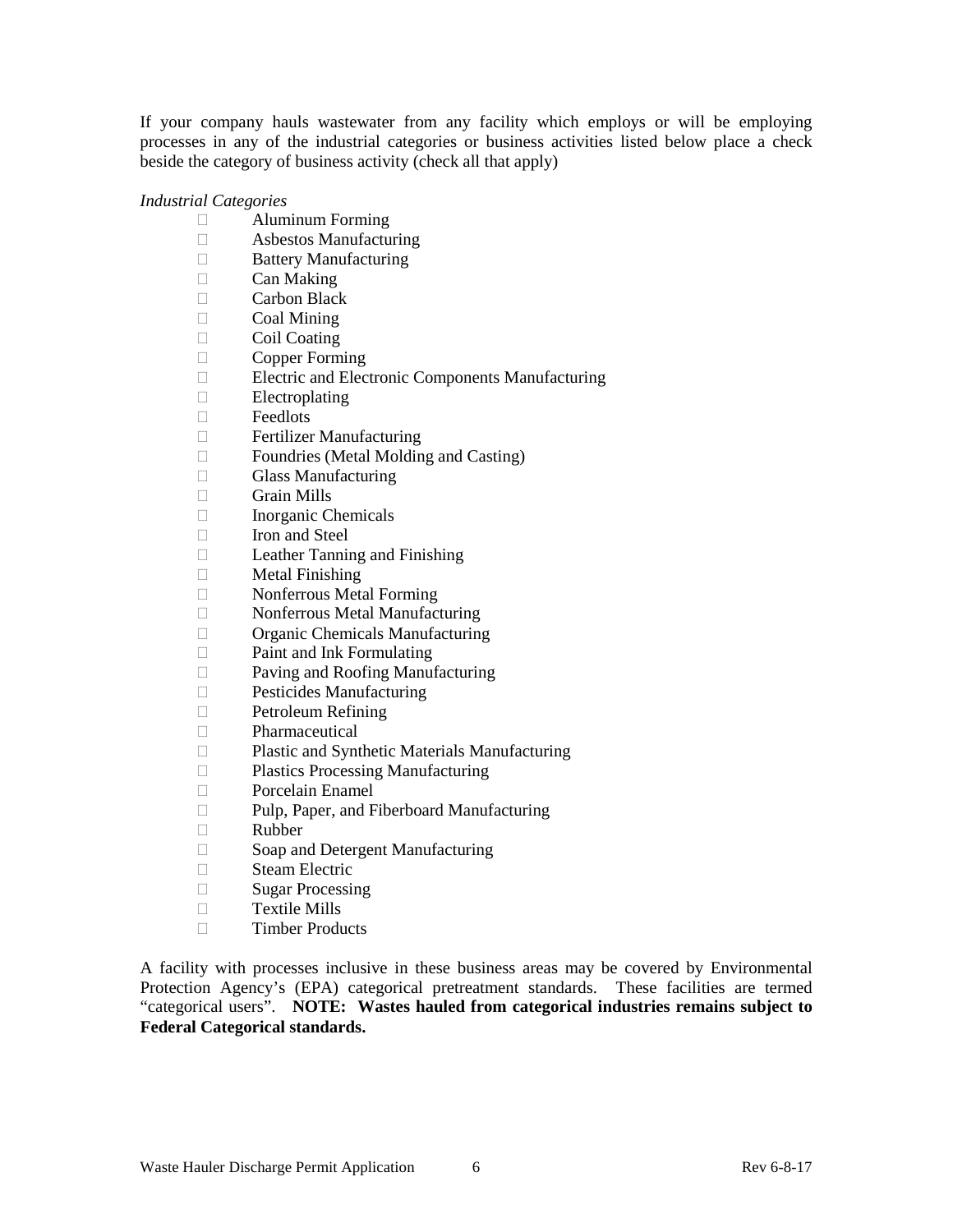If your company hauls wastewater from any facility which employs or will be employing processes in any of the industrial categories or business activities listed below place a check beside the category of business activity (check all that apply)

## *Industrial Categories*

- Aluminum Forming
- Asbestos Manufacturing
- **Battery Manufacturing**
- $\Box$  Can Making
- Carbon Black
- Coal Mining
- $\Box$  Coil Coating
- $\Box$  Copper Forming<br>
Electric and Electric
- Electric and Electronic Components Manufacturing
- Electroplating
- Feedlots
- **Example 3** Fertilizer Manufacturing
- $\Box$  Foundries (Metal Molding and Casting)
- Glass Manufacturing
- $\Box$  Grain Mills
- Inorganic Chemicals
- $\Box$  Iron and Steel
- $\Box$  Leather Tanning and Finishing<br> $\Box$  Metal Finishing
- Metal Finishing
- Nonferrous Metal Forming
- Nonferrous Metal Manufacturing
- Organic Chemicals Manufacturing
- Paint and Ink Formulating
- Paving and Roofing Manufacturing
- **Pesticides Manufacturing**
- Petroleum Refining
- Pharmaceutical
- □ Plastic and Synthetic Materials Manufacturing<br>□ Plastics Processing Manufacturing
- Plastics Processing Manufacturing
- Porcelain Enamel
- □ Pulp, Paper, and Fiberboard Manufacturing
- Rubber
- □ Soap and Detergent Manufacturing
- Steam Electric
- Sugar Processing
- $\Box$  Textile Mills
- $\square$  Timber Products

A facility with processes inclusive in these business areas may be covered by Environmental Protection Agency's (EPA) categorical pretreatment standards. These facilities are termed "categorical users". **NOTE: Wastes hauled from categorical industries remains subject to Federal Categorical standards.**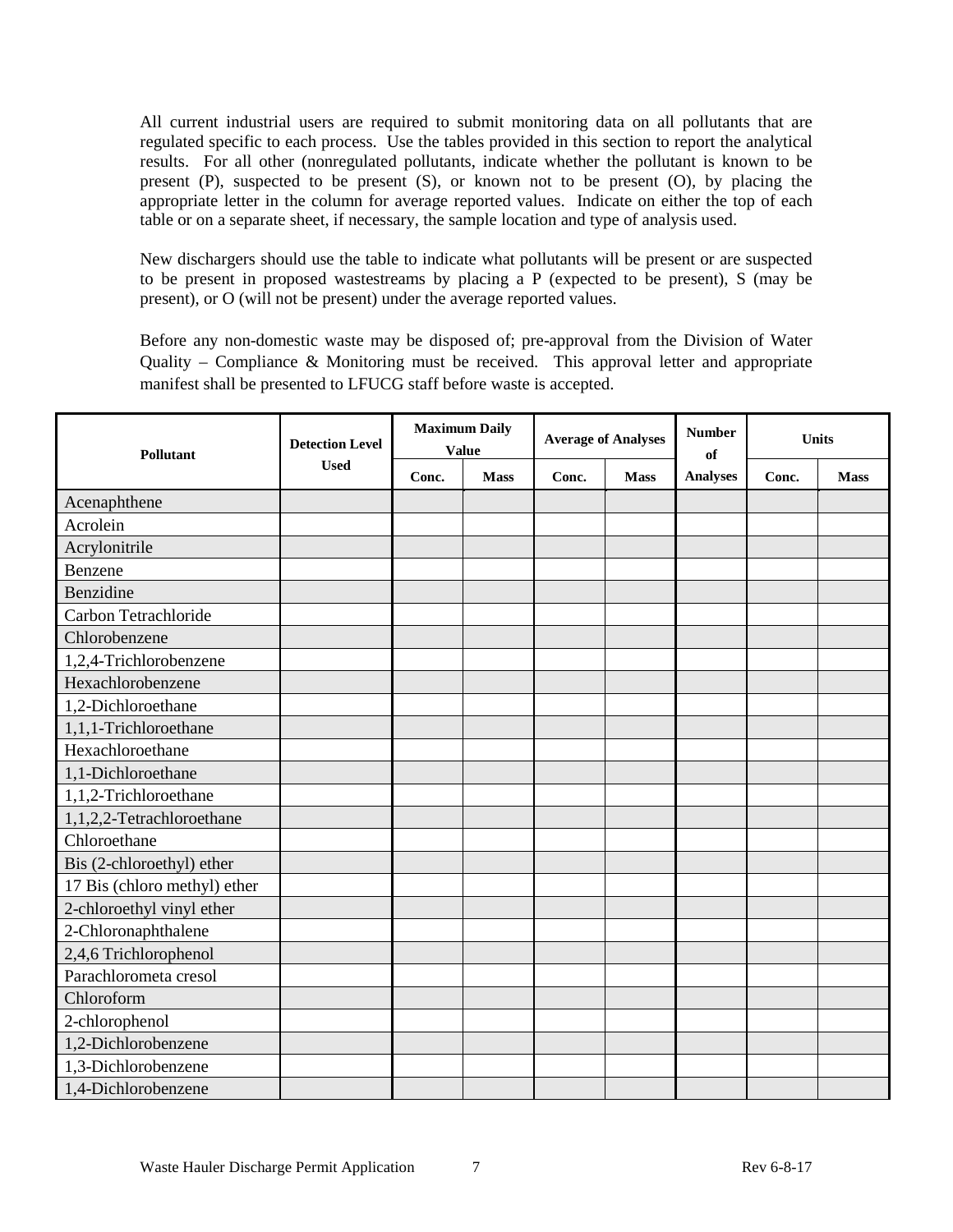All current industrial users are required to submit monitoring data on all pollutants that are regulated specific to each process. Use the tables provided in this section to report the analytical results. For all other (nonregulated pollutants, indicate whether the pollutant is known to be present (P), suspected to be present (S), or known not to be present (O), by placing the appropriate letter in the column for average reported values. Indicate on either the top of each table or on a separate sheet, if necessary, the sample location and type of analysis used.

New dischargers should use the table to indicate what pollutants will be present or are suspected to be present in proposed wastestreams by placing a P (expected to be present), S (may be present), or O (will not be present) under the average reported values.

Before any non-domestic waste may be disposed of; pre-approval from the Division of Water Quality – Compliance & Monitoring must be received. This approval letter and appropriate manifest shall be presented to LFUCG staff before waste is accepted.

| <b>Pollutant</b>             | <b>Detection Level</b> | <b>Maximum Daily</b><br><b>Value</b> |             |       | <b>Average of Analyses</b> | <b>Number</b><br>of | <b>Units</b> |             |
|------------------------------|------------------------|--------------------------------------|-------------|-------|----------------------------|---------------------|--------------|-------------|
|                              | <b>Used</b>            | Conc.                                | <b>Mass</b> | Conc. | <b>Mass</b>                | <b>Analyses</b>     | Conc.        | <b>Mass</b> |
| Acenaphthene                 |                        |                                      |             |       |                            |                     |              |             |
| Acrolein                     |                        |                                      |             |       |                            |                     |              |             |
| Acrylonitrile                |                        |                                      |             |       |                            |                     |              |             |
| Benzene                      |                        |                                      |             |       |                            |                     |              |             |
| Benzidine                    |                        |                                      |             |       |                            |                     |              |             |
| Carbon Tetrachloride         |                        |                                      |             |       |                            |                     |              |             |
| Chlorobenzene                |                        |                                      |             |       |                            |                     |              |             |
| 1,2,4-Trichlorobenzene       |                        |                                      |             |       |                            |                     |              |             |
| Hexachlorobenzene            |                        |                                      |             |       |                            |                     |              |             |
| 1,2-Dichloroethane           |                        |                                      |             |       |                            |                     |              |             |
| 1,1,1-Trichloroethane        |                        |                                      |             |       |                            |                     |              |             |
| Hexachloroethane             |                        |                                      |             |       |                            |                     |              |             |
| 1,1-Dichloroethane           |                        |                                      |             |       |                            |                     |              |             |
| 1,1,2-Trichloroethane        |                        |                                      |             |       |                            |                     |              |             |
| 1,1,2,2-Tetrachloroethane    |                        |                                      |             |       |                            |                     |              |             |
| Chloroethane                 |                        |                                      |             |       |                            |                     |              |             |
| Bis (2-chloroethyl) ether    |                        |                                      |             |       |                            |                     |              |             |
| 17 Bis (chloro methyl) ether |                        |                                      |             |       |                            |                     |              |             |
| 2-chloroethyl vinyl ether    |                        |                                      |             |       |                            |                     |              |             |
| 2-Chloronaphthalene          |                        |                                      |             |       |                            |                     |              |             |
| 2,4,6 Trichlorophenol        |                        |                                      |             |       |                            |                     |              |             |
| Parachlorometa cresol        |                        |                                      |             |       |                            |                     |              |             |
| Chloroform                   |                        |                                      |             |       |                            |                     |              |             |
| 2-chlorophenol               |                        |                                      |             |       |                            |                     |              |             |
| 1,2-Dichlorobenzene          |                        |                                      |             |       |                            |                     |              |             |
| 1,3-Dichlorobenzene          |                        |                                      |             |       |                            |                     |              |             |
| 1,4-Dichlorobenzene          |                        |                                      |             |       |                            |                     |              |             |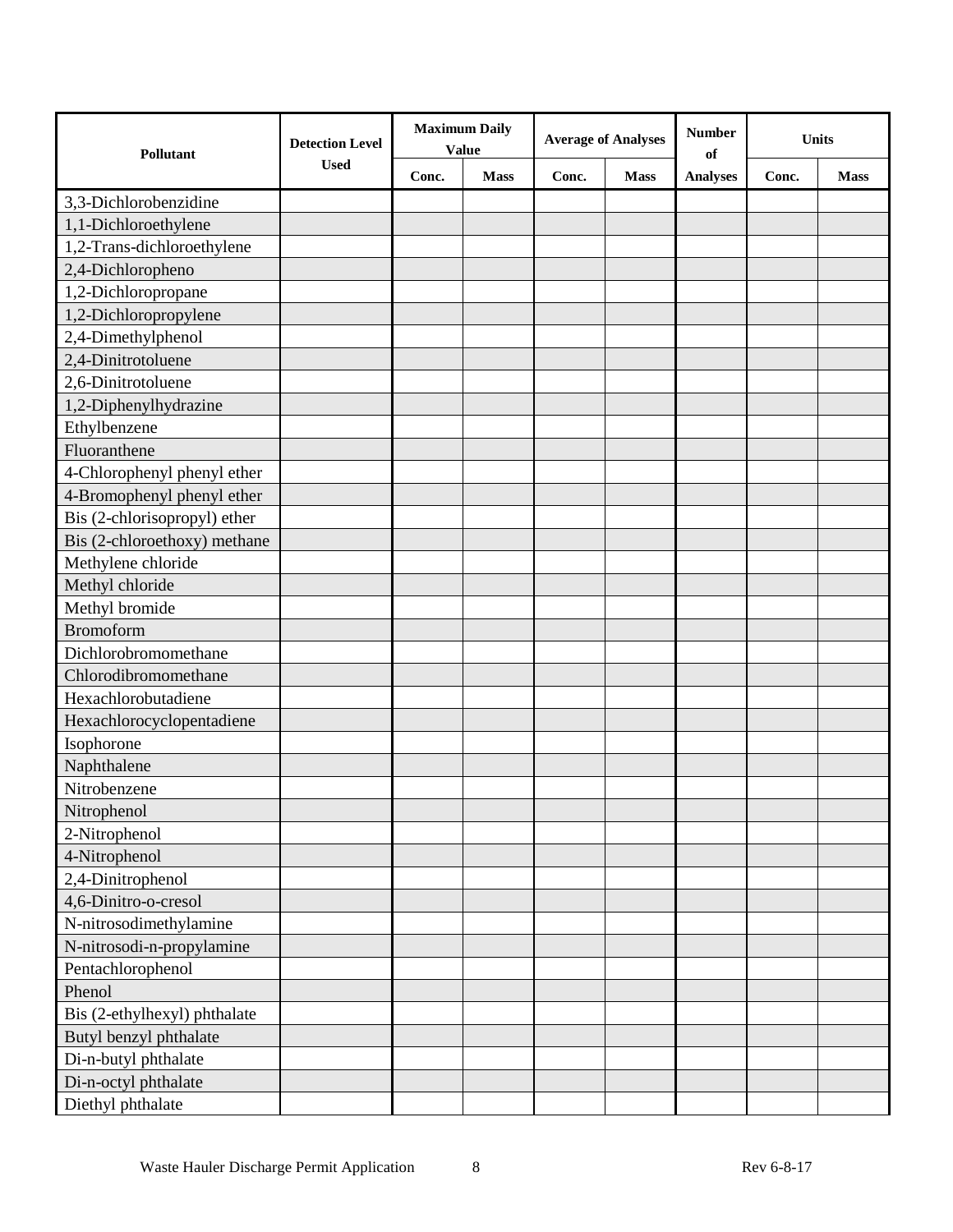| Pollutant                    | <b>Detection Level</b> | <b>Maximum Daily</b><br><b>Value</b> |             | <b>Average of Analyses</b> |             | <b>Number</b><br>of | <b>Units</b> |             |
|------------------------------|------------------------|--------------------------------------|-------------|----------------------------|-------------|---------------------|--------------|-------------|
|                              | <b>Used</b>            | Conc.                                | <b>Mass</b> | Conc.                      | <b>Mass</b> | <b>Analyses</b>     | Conc.        | <b>Mass</b> |
| 3,3-Dichlorobenzidine        |                        |                                      |             |                            |             |                     |              |             |
| 1,1-Dichloroethylene         |                        |                                      |             |                            |             |                     |              |             |
| 1,2-Trans-dichloroethylene   |                        |                                      |             |                            |             |                     |              |             |
| 2,4-Dichloropheno            |                        |                                      |             |                            |             |                     |              |             |
| 1,2-Dichloropropane          |                        |                                      |             |                            |             |                     |              |             |
| 1,2-Dichloropropylene        |                        |                                      |             |                            |             |                     |              |             |
| 2,4-Dimethylphenol           |                        |                                      |             |                            |             |                     |              |             |
| 2,4-Dinitrotoluene           |                        |                                      |             |                            |             |                     |              |             |
| 2,6-Dinitrotoluene           |                        |                                      |             |                            |             |                     |              |             |
| 1,2-Diphenylhydrazine        |                        |                                      |             |                            |             |                     |              |             |
| Ethylbenzene                 |                        |                                      |             |                            |             |                     |              |             |
| Fluoranthene                 |                        |                                      |             |                            |             |                     |              |             |
| 4-Chlorophenyl phenyl ether  |                        |                                      |             |                            |             |                     |              |             |
| 4-Bromophenyl phenyl ether   |                        |                                      |             |                            |             |                     |              |             |
| Bis (2-chlorisopropyl) ether |                        |                                      |             |                            |             |                     |              |             |
| Bis (2-chloroethoxy) methane |                        |                                      |             |                            |             |                     |              |             |
| Methylene chloride           |                        |                                      |             |                            |             |                     |              |             |
| Methyl chloride              |                        |                                      |             |                            |             |                     |              |             |
| Methyl bromide               |                        |                                      |             |                            |             |                     |              |             |
| <b>Bromoform</b>             |                        |                                      |             |                            |             |                     |              |             |
| Dichlorobromomethane         |                        |                                      |             |                            |             |                     |              |             |
| Chlorodibromomethane         |                        |                                      |             |                            |             |                     |              |             |
| Hexachlorobutadiene          |                        |                                      |             |                            |             |                     |              |             |
| Hexachlorocyclopentadiene    |                        |                                      |             |                            |             |                     |              |             |
| Isophorone                   |                        |                                      |             |                            |             |                     |              |             |
| Naphthalene                  |                        |                                      |             |                            |             |                     |              |             |
| Nitrobenzene                 |                        |                                      |             |                            |             |                     |              |             |
| Nitrophenol                  |                        |                                      |             |                            |             |                     |              |             |
| 2-Nitrophenol                |                        |                                      |             |                            |             |                     |              |             |
| 4-Nitrophenol                |                        |                                      |             |                            |             |                     |              |             |
| 2,4-Dinitrophenol            |                        |                                      |             |                            |             |                     |              |             |
| 4,6-Dinitro-o-cresol         |                        |                                      |             |                            |             |                     |              |             |
| N-nitrosodimethylamine       |                        |                                      |             |                            |             |                     |              |             |
| N-nitrosodi-n-propylamine    |                        |                                      |             |                            |             |                     |              |             |
| Pentachlorophenol            |                        |                                      |             |                            |             |                     |              |             |
| Phenol                       |                        |                                      |             |                            |             |                     |              |             |
| Bis (2-ethylhexyl) phthalate |                        |                                      |             |                            |             |                     |              |             |
| Butyl benzyl phthalate       |                        |                                      |             |                            |             |                     |              |             |
| Di-n-butyl phthalate         |                        |                                      |             |                            |             |                     |              |             |
| Di-n-octyl phthalate         |                        |                                      |             |                            |             |                     |              |             |
| Diethyl phthalate            |                        |                                      |             |                            |             |                     |              |             |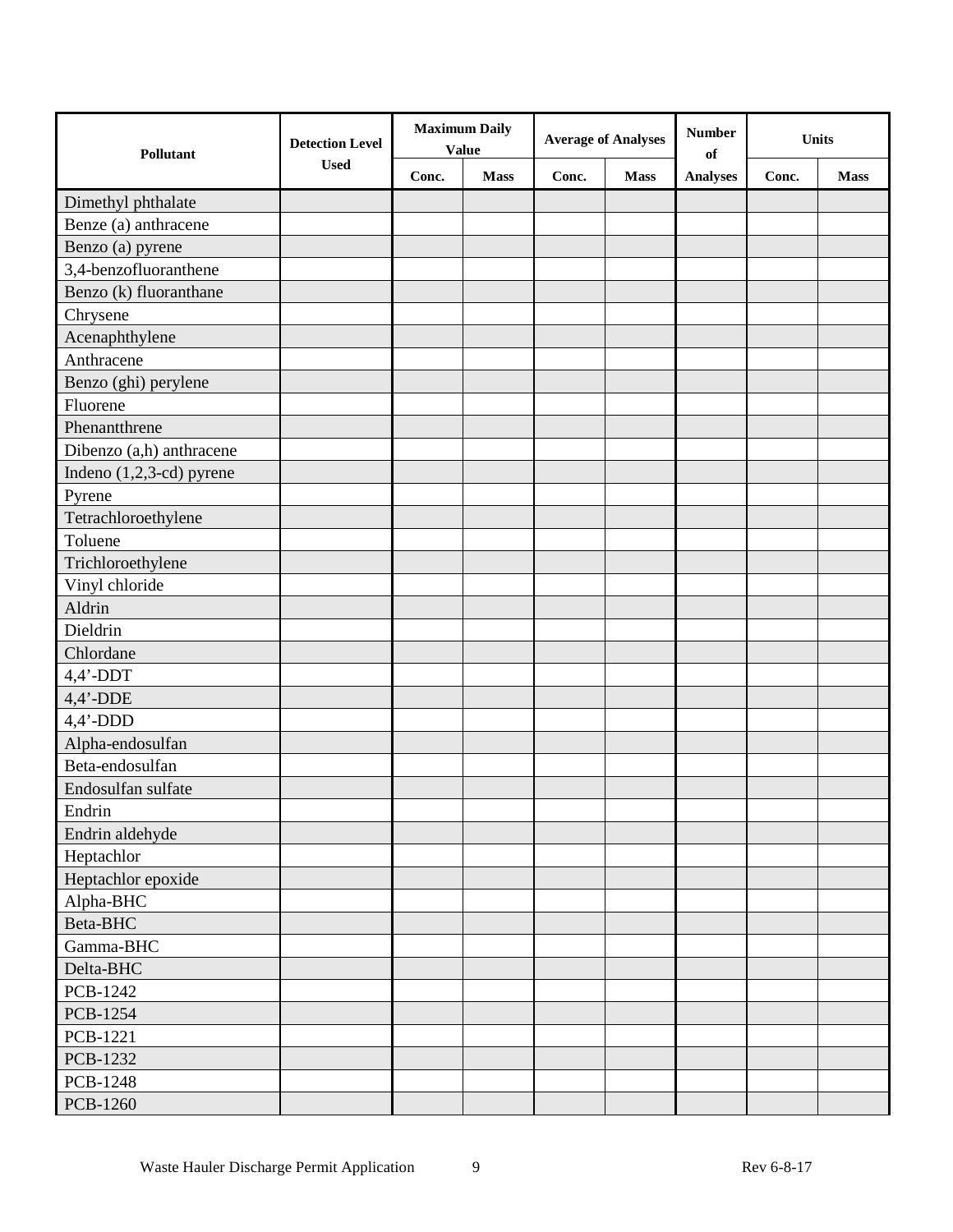| <b>Detection Level</b><br>Pollutant |             | <b>Maximum Daily</b><br><b>Value</b> |             | <b>Average of Analyses</b> |             | <b>Number</b><br>of |       | <b>Units</b> |  |
|-------------------------------------|-------------|--------------------------------------|-------------|----------------------------|-------------|---------------------|-------|--------------|--|
|                                     | <b>Used</b> | Conc.                                | <b>Mass</b> | Conc.                      | <b>Mass</b> | <b>Analyses</b>     | Conc. | <b>Mass</b>  |  |
| Dimethyl phthalate                  |             |                                      |             |                            |             |                     |       |              |  |
| Benze (a) anthracene                |             |                                      |             |                            |             |                     |       |              |  |
| Benzo (a) pyrene                    |             |                                      |             |                            |             |                     |       |              |  |
| 3,4-benzofluoranthene               |             |                                      |             |                            |             |                     |       |              |  |
| Benzo (k) fluoranthane              |             |                                      |             |                            |             |                     |       |              |  |
| Chrysene                            |             |                                      |             |                            |             |                     |       |              |  |
| Acenaphthylene                      |             |                                      |             |                            |             |                     |       |              |  |
| Anthracene                          |             |                                      |             |                            |             |                     |       |              |  |
| Benzo (ghi) perylene                |             |                                      |             |                            |             |                     |       |              |  |
| Fluorene                            |             |                                      |             |                            |             |                     |       |              |  |
| Phenantthrene                       |             |                                      |             |                            |             |                     |       |              |  |
| Dibenzo (a,h) anthracene            |             |                                      |             |                            |             |                     |       |              |  |
| Indeno $(1,2,3$ -cd) pyrene         |             |                                      |             |                            |             |                     |       |              |  |
| Pyrene                              |             |                                      |             |                            |             |                     |       |              |  |
| Tetrachloroethylene                 |             |                                      |             |                            |             |                     |       |              |  |
| Toluene                             |             |                                      |             |                            |             |                     |       |              |  |
| Trichloroethylene                   |             |                                      |             |                            |             |                     |       |              |  |
| Vinyl chloride                      |             |                                      |             |                            |             |                     |       |              |  |
| Aldrin                              |             |                                      |             |                            |             |                     |       |              |  |
| Dieldrin                            |             |                                      |             |                            |             |                     |       |              |  |
| Chlordane                           |             |                                      |             |                            |             |                     |       |              |  |
| $4,4'$ -DDT                         |             |                                      |             |                            |             |                     |       |              |  |
| $4,4'$ -DDE                         |             |                                      |             |                            |             |                     |       |              |  |
| $4,4'$ -DDD                         |             |                                      |             |                            |             |                     |       |              |  |
| Alpha-endosulfan                    |             |                                      |             |                            |             |                     |       |              |  |
| Beta-endosulfan                     |             |                                      |             |                            |             |                     |       |              |  |
| Endosulfan sulfate                  |             |                                      |             |                            |             |                     |       |              |  |
| Endrin                              |             |                                      |             |                            |             |                     |       |              |  |
| Endrin aldehyde                     |             |                                      |             |                            |             |                     |       |              |  |
| Heptachlor                          |             |                                      |             |                            |             |                     |       |              |  |
| Heptachlor epoxide                  |             |                                      |             |                            |             |                     |       |              |  |
| Alpha-BHC                           |             |                                      |             |                            |             |                     |       |              |  |
| Beta-BHC                            |             |                                      |             |                            |             |                     |       |              |  |
| Gamma-BHC                           |             |                                      |             |                            |             |                     |       |              |  |
| Delta-BHC                           |             |                                      |             |                            |             |                     |       |              |  |
| PCB-1242                            |             |                                      |             |                            |             |                     |       |              |  |
| PCB-1254                            |             |                                      |             |                            |             |                     |       |              |  |
| PCB-1221                            |             |                                      |             |                            |             |                     |       |              |  |
| PCB-1232                            |             |                                      |             |                            |             |                     |       |              |  |
| <b>PCB-1248</b>                     |             |                                      |             |                            |             |                     |       |              |  |
| PCB-1260                            |             |                                      |             |                            |             |                     |       |              |  |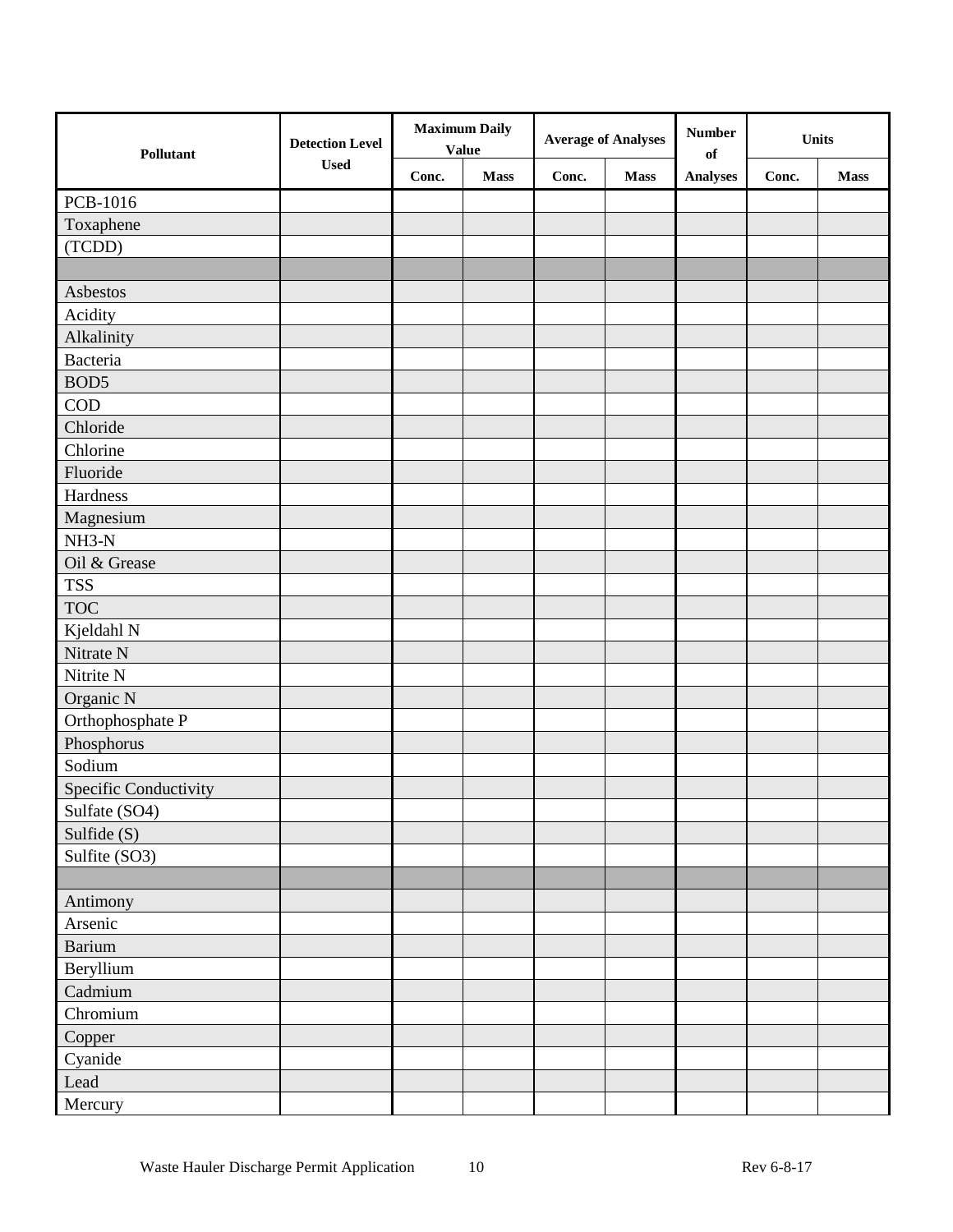| Pollutant             | <b>Detection Level</b> | <b>Maximum Daily</b><br><b>Value</b> |             | <b>Average of Analyses</b> |             | <b>Number</b><br><b>Units</b><br>of |       |             |
|-----------------------|------------------------|--------------------------------------|-------------|----------------------------|-------------|-------------------------------------|-------|-------------|
|                       | <b>Used</b>            | Conc.                                | <b>Mass</b> | Conc.                      | <b>Mass</b> | <b>Analyses</b>                     | Conc. | <b>Mass</b> |
| PCB-1016              |                        |                                      |             |                            |             |                                     |       |             |
| Toxaphene             |                        |                                      |             |                            |             |                                     |       |             |
| (TCDD)                |                        |                                      |             |                            |             |                                     |       |             |
|                       |                        |                                      |             |                            |             |                                     |       |             |
| Asbestos              |                        |                                      |             |                            |             |                                     |       |             |
| Acidity               |                        |                                      |             |                            |             |                                     |       |             |
| Alkalinity            |                        |                                      |             |                            |             |                                     |       |             |
| Bacteria              |                        |                                      |             |                            |             |                                     |       |             |
| BOD <sub>5</sub>      |                        |                                      |             |                            |             |                                     |       |             |
| <b>COD</b>            |                        |                                      |             |                            |             |                                     |       |             |
| Chloride              |                        |                                      |             |                            |             |                                     |       |             |
| Chlorine              |                        |                                      |             |                            |             |                                     |       |             |
| Fluoride              |                        |                                      |             |                            |             |                                     |       |             |
| Hardness              |                        |                                      |             |                            |             |                                     |       |             |
| Magnesium             |                        |                                      |             |                            |             |                                     |       |             |
| $NH3-N$               |                        |                                      |             |                            |             |                                     |       |             |
| Oil & Grease          |                        |                                      |             |                            |             |                                     |       |             |
| <b>TSS</b>            |                        |                                      |             |                            |             |                                     |       |             |
| <b>TOC</b>            |                        |                                      |             |                            |             |                                     |       |             |
| Kjeldahl N            |                        |                                      |             |                            |             |                                     |       |             |
| Nitrate N             |                        |                                      |             |                            |             |                                     |       |             |
| Nitrite N             |                        |                                      |             |                            |             |                                     |       |             |
| Organic N             |                        |                                      |             |                            |             |                                     |       |             |
| Orthophosphate P      |                        |                                      |             |                            |             |                                     |       |             |
| Phosphorus            |                        |                                      |             |                            |             |                                     |       |             |
| Sodium                |                        |                                      |             |                            |             |                                     |       |             |
| Specific Conductivity |                        |                                      |             |                            |             |                                     |       |             |
| Sulfate (SO4)         |                        |                                      |             |                            |             |                                     |       |             |
| Sulfide (S)           |                        |                                      |             |                            |             |                                     |       |             |
| Sulfite (SO3)         |                        |                                      |             |                            |             |                                     |       |             |
|                       |                        |                                      |             |                            |             |                                     |       |             |
| Antimony              |                        |                                      |             |                            |             |                                     |       |             |
| Arsenic               |                        |                                      |             |                            |             |                                     |       |             |
| Barium                |                        |                                      |             |                            |             |                                     |       |             |
| Beryllium             |                        |                                      |             |                            |             |                                     |       |             |
| Cadmium               |                        |                                      |             |                            |             |                                     |       |             |
| Chromium              |                        |                                      |             |                            |             |                                     |       |             |
| Copper                |                        |                                      |             |                            |             |                                     |       |             |
| Cyanide               |                        |                                      |             |                            |             |                                     |       |             |
| Lead                  |                        |                                      |             |                            |             |                                     |       |             |
| Mercury               |                        |                                      |             |                            |             |                                     |       |             |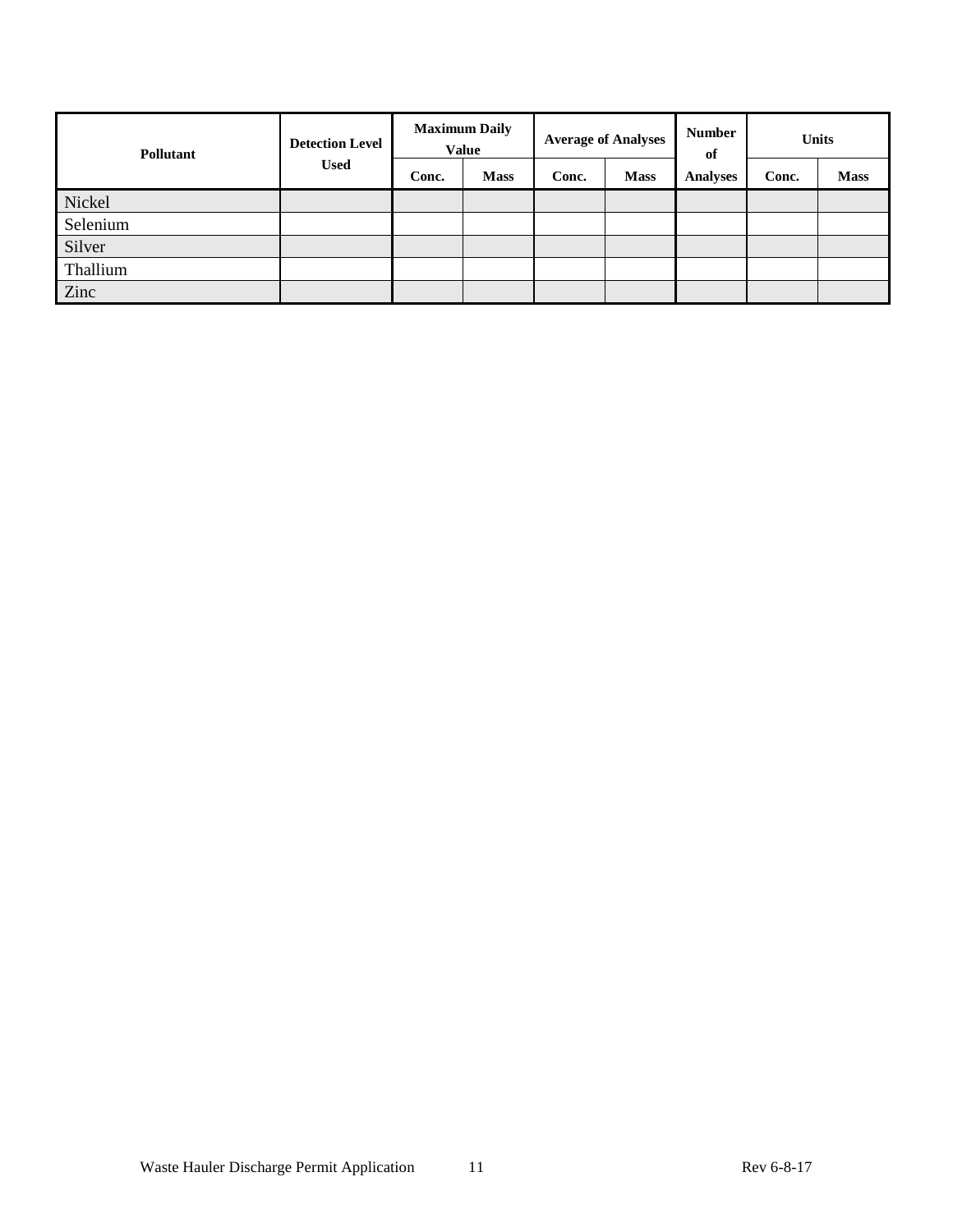| <b>Detection Level</b><br><b>Pollutant</b> |             | <b>Maximum Daily</b><br><b>Value</b> |             | <b>Average of Analyses</b> |             | <b>Number</b><br>of | <b>Units</b> |             |
|--------------------------------------------|-------------|--------------------------------------|-------------|----------------------------|-------------|---------------------|--------------|-------------|
|                                            | <b>Used</b> | Conc.                                | <b>Mass</b> | Conc.                      | <b>Mass</b> | <b>Analyses</b>     | Conc.        | <b>Mass</b> |
| Nickel                                     |             |                                      |             |                            |             |                     |              |             |
| Selenium                                   |             |                                      |             |                            |             |                     |              |             |
| Silver                                     |             |                                      |             |                            |             |                     |              |             |
| Thallium                                   |             |                                      |             |                            |             |                     |              |             |
| Zinc                                       |             |                                      |             |                            |             |                     |              |             |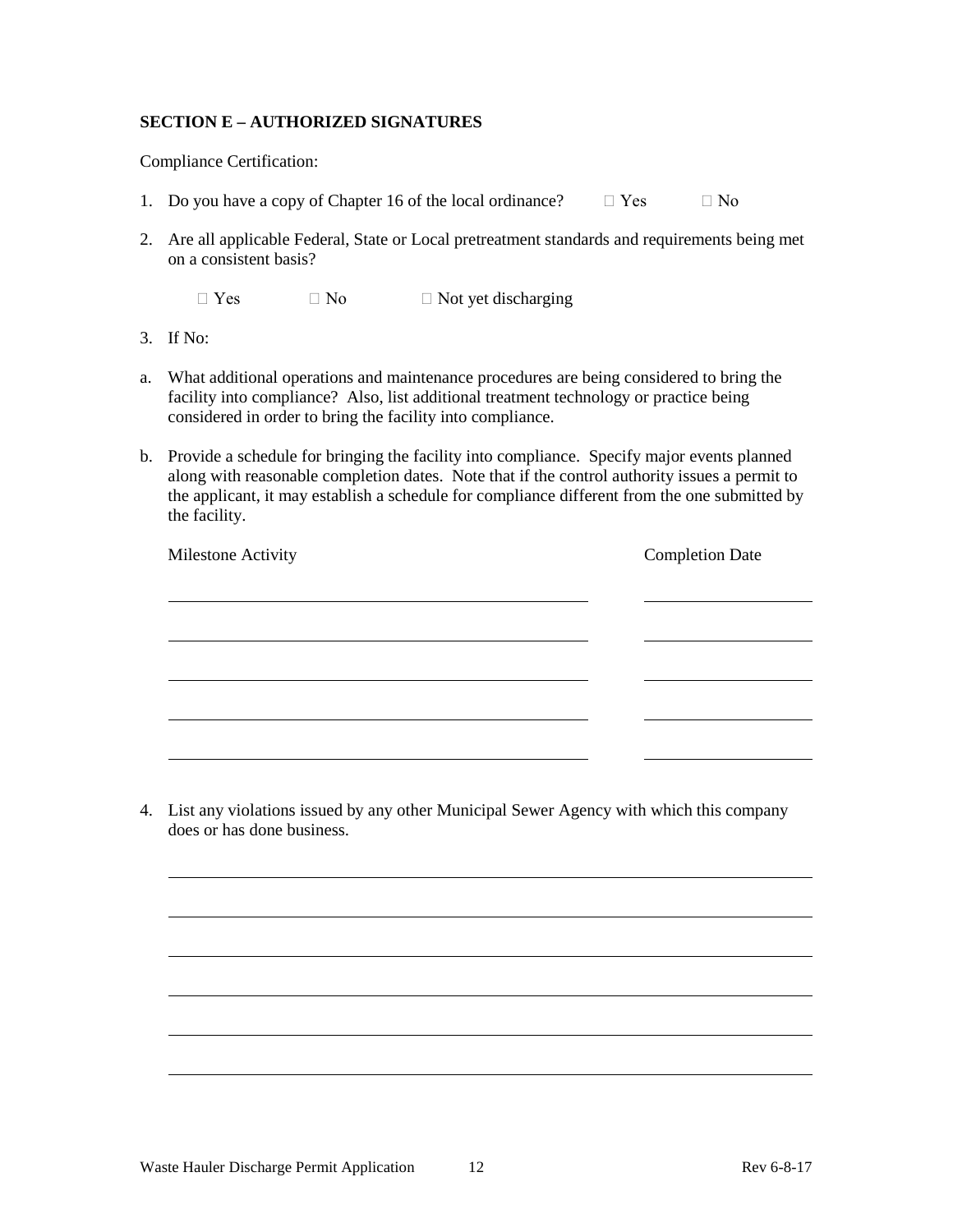## **SECTION E – AUTHORIZED SIGNATURES**

Compliance Certification:

- 1. Do you have a copy of Chapter 16 of the local ordinance?  $\Box$  Yes  $\Box$  No
- 2. Are all applicable Federal, State or Local pretreatment standards and requirements being met on a consistent basis?

 $\Box$  Yes  $\Box$  No  $\Box$  Not yet discharging

- 3. If No:
- a. What additional operations and maintenance procedures are being considered to bring the facility into compliance? Also, list additional treatment technology or practice being considered in order to bring the facility into compliance.
- b. Provide a schedule for bringing the facility into compliance. Specify major events planned along with reasonable completion dates. Note that if the control authority issues a permit to the applicant, it may establish a schedule for compliance different from the one submitted by the facility.

| Milestone Activity | <b>Completion Date</b> |
|--------------------|------------------------|
|                    |                        |
|                    |                        |
|                    |                        |
|                    |                        |
|                    |                        |

4. List any violations issued by any other Municipal Sewer Agency with which this company does or has done business.